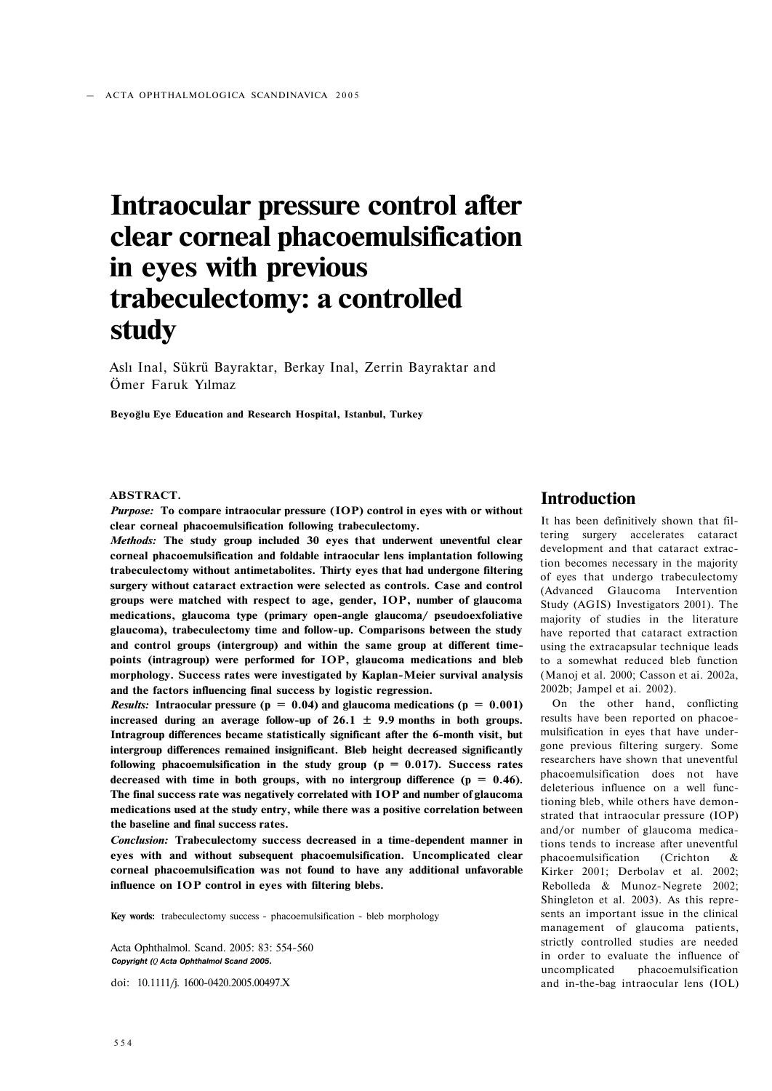# **Intraocular pressure control after clear corneal phacoemulsification in eyes with previous trabeculectomy: a controlled study**

Aslı Inal, Sükrü Bayraktar, Berkay Inal, Zerrin Bayraktar and Ömer Faruk Yılmaz

**Beyoğlu Eye Education and Research Hospital, Istanbul, Turkey** 

## **ABSTRACT.**

*Purpose:* **To compare intraocular pressure (IOP) control in eyes with or without clear corneal phacoemulsification following trabeculectomy.** 

*Methods:* **The study group included 30 eyes that underwent uneventful clear corneal phacoemulsification and foldable intraocular lens implantation following trabeculectomy without antimetabolites. Thirty eyes that had undergone filtering surgery without cataract extraction were selected as controls. Case and control groups were matched with respect to age, gender, IOP, number of glaucoma medications, glaucoma type (primary open-angle glaucoma/ pseudoexfoliative glaucoma), trabeculectomy time and follow-up. Comparisons between the study and control groups (intergroup) and within the same group at different timepoints (intragroup) were performed for IOP, glaucoma medications and bleb morphology. Success rates were investigated by Kaplan-Meier survival analysis and the factors influencing final success by logistic regression.** 

*Results:* Intraocular pressure ( $p = 0.04$ ) and glaucoma medications ( $p = 0.001$ ) increased during an average follow-up of  $26.1 \pm 9.9$  months in both groups. **Intragroup differences became statistically significant after the 6-month visit, but intergroup differences remained insignificant. Bleb height decreased significantly**  following phacoemulsification in the study group  $(p = 0.017)$ . Success rates **decreased with time in both groups, with no intergroup difference (p = 0.46). The final success rate was negatively correlated with IOP and number of glaucoma medications used at the study entry, while there was a positive correlation between the baseline and final success rates.** 

*Conclusion:* **Trabeculectomy success decreased in a time-dependent manner in eyes with and without subsequent phacoemulsification. Uncomplicated clear corneal phacoemulsification was not found to have any additional unfavorable influence on IOP control in eyes with filtering blebs.** 

**Key words:** trabeculectomy success - phacoemulsification - bleb morphology

Acta Ophthalmol. Scand. 2005: 83: 554-560 *Copyright (Q Acta Ophthalmol Scand 2005.* 

doi: 10.1111/j. 1600-0420.2005.00497.X

# **Introduction**

It has been definitively shown that filtering surgery accelerates cataract development and that cataract extraction becomes necessary in the majority of eyes that undergo trabeculectomy (Advanced Glaucoma Intervention Study (AGIS) Investigators 2001). The majority of studies in the literature have reported that cataract extraction using the extracapsular technique leads to a somewhat reduced bleb function (Manoj et al. 2000; Casson et ai. 2002a, 2002b; Jampel et ai. 2002).

On the other hand, conflicting results have been reported on phacoemulsification in eyes that have undergone previous filtering surgery. Some researchers have shown that uneventful phacoemulsification does not have deleterious influence on a well functioning bleb, while others have demonstrated that intraocular pressure (IOP) and/or number of glaucoma medications tends to increase after uneventful phacoemulsification (Crichton & Kirker 2001; Derbolav et al. 2002; Rebolleda & Munoz-Negrete 2002; Shingleton et al. 2003). As this represents an important issue in the clinical management of glaucoma patients, strictly controlled studies are needed in order to evaluate the influence of uncomplicated phacoemulsification and in-the-bag intraocular lens (IOL)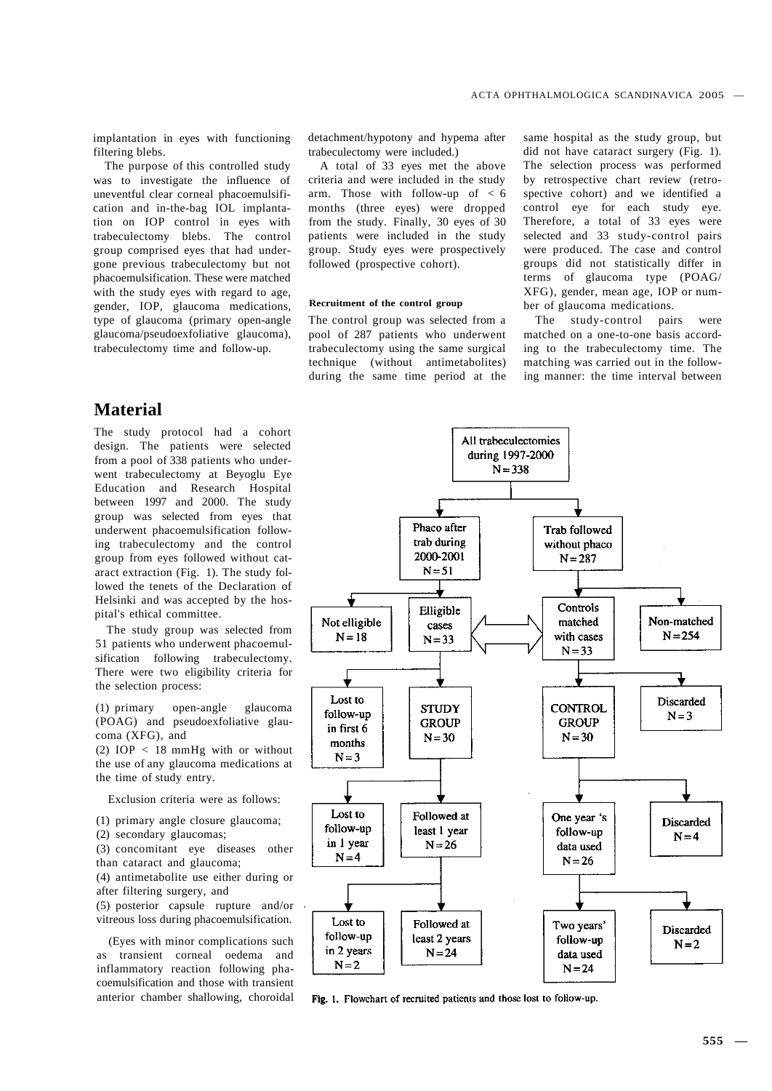implantation in eyes with functioning filtering blebs.

The purpose of this controlled study was to investigate the influence of uneventful clear corneal phacoemulsification and in-the-bag IOL implantation on IOP control in eyes with trabeculectomy blebs. The control group comprised eyes that had undergone previous trabeculectomy but not phacoemulsification. These were matched with the study eyes with regard to age, gender, IOP, glaucoma medications, type of glaucoma (primary open-angle glaucoma/pseudoexfoliative glaucoma), trabeculectomy time and follow-up.

# **Material**

The study protocol had a cohort design. The patients were selected from a pool of 338 patients who underwent trabeculectomy at Beyoglu Eye Education and Research Hospital between 1997 and 2000. The study group was selected from eyes that underwent phacoemulsification following trabeculectomy and the control group from eyes followed without cataract extraction (Fig. 1). The study followed the tenets of the Declaration of Helsinki and was accepted by the hospital's ethical committee.

The study group was selected from 51 patients who underwent phacoemulsification following trabeculectomy. There were two eligibility criteria for the selection process:

(1) primary open-angle glaucoma (POAG) and pseudoexfoliative glaucoma (XFG), and

(2) IOP < 18 mmHg with or without the use of any glaucoma medications at the time of study entry.

Exclusion criteria were as follows:

- (1) primary angle closure glaucoma;
- (2) secondary glaucomas;
- (3) concomitant eye diseases other than cataract and glaucoma;
- (4) antimetabolite use either during or after filtering surgery, and
- (5) posterior capsule rupture and/or vitreous loss during phacoemulsification.

(Eyes with minor complications such as transient corneal oedema and inflammatory reaction following phacoemulsification and those with transient anterior chamber shallowing, choroidal detachment/hypotony and hypema after trabeculectomy were included.)

A total of 33 eyes met the above criteria and were included in the study arm. Those with follow-up of < 6 months (three eyes) were dropped from the study. Finally, 30 eyes of 30 patients were included in the study group. Study eyes were prospectively followed (prospective cohort).

## **Recruitment of the control group**

The control group was selected from a pool of 287 patients who underwent trabeculectomy using the same surgical technique (without antimetabolites) during the same time period at the

same hospital as the study group, but did not have cataract surgery (Fig. 1). The selection process was performed by retrospective chart review (retrospective cohort) and we identified a control eye for each study eye. Therefore, a total of 33 eyes were selected and 33 study-control pairs were produced. The case and control groups did not statistically differ in terms of glaucoma type (POAG/ XFG), gender, mean age, IOP or number of glaucoma medications.

The study-control pairs were matched on a one-to-one basis according to the trabeculectomy time. The matching was carried out in the following manner: the time interval between



Fig. 1. Flowchart of recruited patients and those lost to follow-up.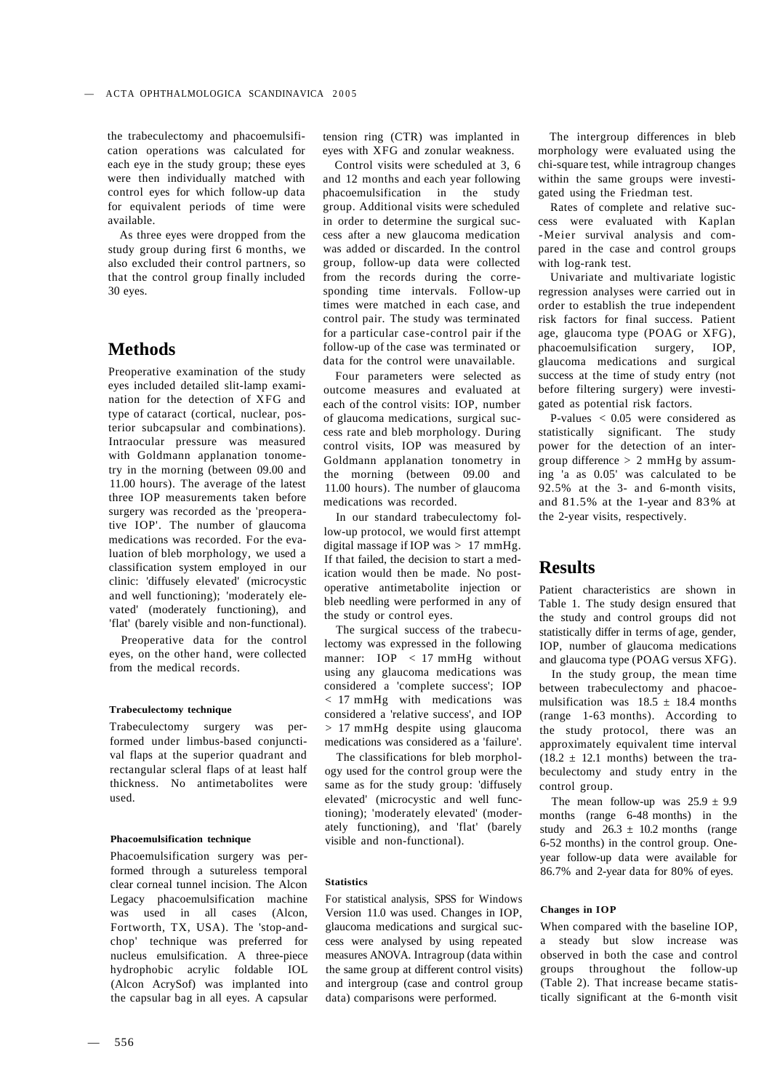the trabeculectomy and phacoemulsification operations was calculated for each eye in the study group; these eyes were then individually matched with control eyes for which follow-up data for equivalent periods of time were available.

As three eyes were dropped from the study group during first 6 months, we also excluded their control partners, so that the control group finally included 30 eyes.

# **Methods**

Preoperative examination of the study eyes included detailed slit-lamp examination for the detection of XFG and type of cataract (cortical, nuclear, posterior subcapsular and combinations). Intraocular pressure was measured with Goldmann applanation tonometry in the morning (between 09.00 and 11.00 hours). The average of the latest three IOP measurements taken before surgery was recorded as the 'preoperative IOP'. The number of glaucoma medications was recorded. For the evaluation of bleb morphology, we used a classification system employed in our clinic: 'diffusely elevated' (microcystic and well functioning); 'moderately elevated' (moderately functioning), and 'flat' (barely visible and non-functional).

Preoperative data for the control eyes, on the other hand, were collected from the medical records.

## **Trabeculectomy technique**

Trabeculectomy surgery was performed under limbus-based conjunctival flaps at the superior quadrant and rectangular scleral flaps of at least half thickness. No antimetabolites were used.

## **Phacoemulsification technique**

Phacoemulsification surgery was performed through a sutureless temporal clear corneal tunnel incision. The Alcon Legacy phacoemulsification machine was used in all cases (Alcon, Fortworth, TX, USA). The 'stop-andchop' technique was preferred for nucleus emulsification. A three-piece hydrophobic acrylic foldable IOL (Alcon AcrySof) was implanted into the capsular bag in all eyes. A capsular

tension ring (CTR) was implanted in eyes with XFG and zonular weakness.

Control visits were scheduled at 3, 6 and 12 months and each year following phacoemulsification in the study group. Additional visits were scheduled in order to determine the surgical success after a new glaucoma medication was added or discarded. In the control group, follow-up data were collected from the records during the corresponding time intervals. Follow-up times were matched in each case, and control pair. The study was terminated for a particular case-control pair if the follow-up of the case was terminated or data for the control were unavailable.

Four parameters were selected as outcome measures and evaluated at each of the control visits: IOP, number of glaucoma medications, surgical success rate and bleb morphology. During control visits, IOP was measured by Goldmann applanation tonometry in the morning (between 09.00 and 11.00 hours). The number of glaucoma medications was recorded.

In our standard trabeculectomy follow-up protocol, we would first attempt digital massage if IOP was  $> 17$  mmHg. If that failed, the decision to start a medication would then be made. No postoperative antimetabolite injection or bleb needling were performed in any of the study or control eyes.

The surgical success of the trabeculectomy was expressed in the following manner: IOP < 17 mmHg without using any glaucoma medications was considered a 'complete success'; IOP < 17 mmHg with medications was considered a 'relative success', and IOP > 17 mmHg despite using glaucoma medications was considered as a 'failure'.

The classifications for bleb morphology used for the control group were the same as for the study group: 'diffusely elevated' (microcystic and well functioning); 'moderately elevated' (moderately functioning), and 'flat' (barely visible and non-functional).

## **Statistics**

For statistical analysis, SPSS for Windows Version 11.0 was used. Changes in IOP, glaucoma medications and surgical success were analysed by using repeated measures ANOVA. Intragroup (data within the same group at different control visits) and intergroup (case and control group data) comparisons were performed.

The intergroup differences in bleb morphology were evaluated using the chi-square test, while intragroup changes within the same groups were investigated using the Friedman test.

Rates of complete and relative success were evaluated with Kaplan -Meier survival analysis and compared in the case and control groups with log-rank test.

Univariate and multivariate logistic regression analyses were carried out in order to establish the true independent risk factors for final success. Patient age, glaucoma type (POAG or XFG), phacoemulsification surgery, IOP, glaucoma medications and surgical success at the time of study entry (not before filtering surgery) were investigated as potential risk factors.

P-values < 0.05 were considered as statistically significant. The study power for the detection of an intergroup difference  $> 2$  mmHg by assuming 'a as 0.05' was calculated to be 92.5% at the 3- and 6-month visits, and 81.5% at the 1-year and 83% at the 2-year visits, respectively.

## **Results**

Patient characteristics are shown in Table 1. The study design ensured that the study and control groups did not statistically differ in terms of age, gender, IOP, number of glaucoma medications and glaucoma type (POAG versus XFG).

In the study group, the mean time between trabeculectomy and phacoemulsification was  $18.5 \pm 18.4$  months (range 1-63 months). According to the study protocol, there was an approximately equivalent time interval  $(18.2 \pm 12.1 \text{ months})$  between the trabeculectomy and study entry in the control group.

The mean follow-up was  $25.9 \pm 9.9$ months (range 6-48 months) in the study and  $26.3 \pm 10.2$  months (range 6-52 months) in the control group. Oneyear follow-up data were available for 86.7% and 2-year data for 80% of eyes.

## **Changes in IOP**

When compared with the baseline IOP, a steady but slow increase was observed in both the case and control groups throughout the follow-up (Table 2). That increase became statistically significant at the 6-month visit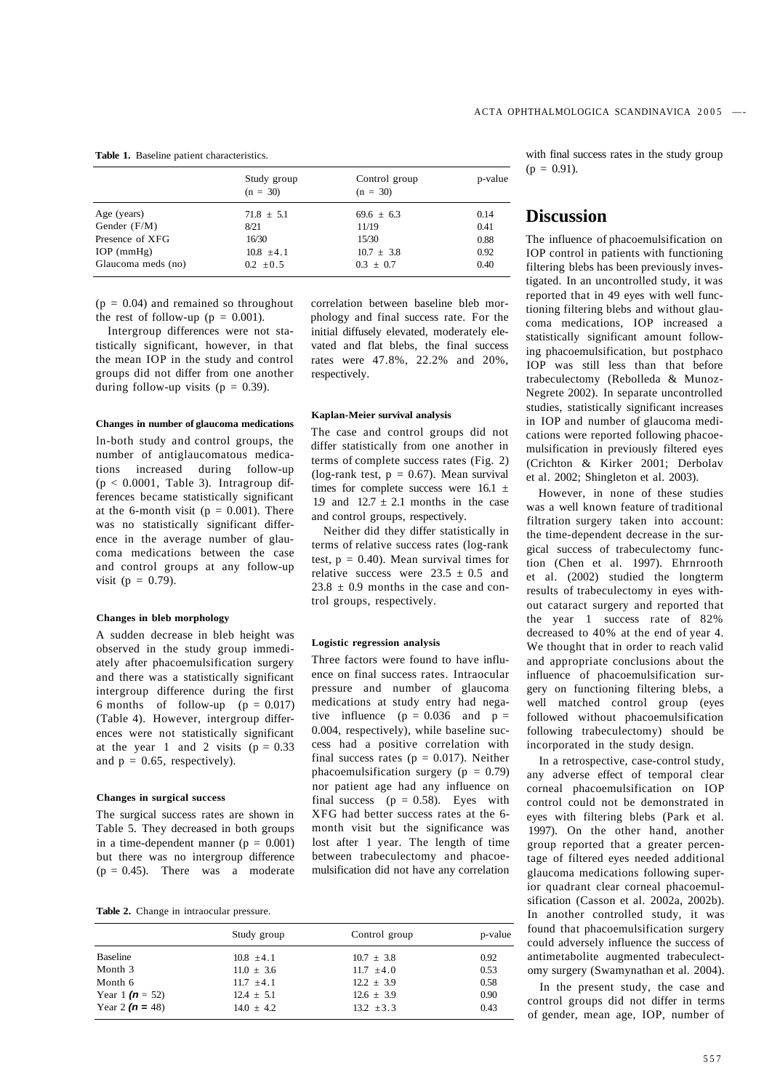| Control group<br>p-value |
|--------------------------|
| 0.14<br>$69.6 \pm 6.3$   |
| 0.41                     |
| 0.88                     |
| 0.92<br>$10.7 \pm 3.8$   |
| 0.40                     |
|                          |

**Table 1.** Baseline patient characteristics.

 $(p = 0.04)$  and remained so throughout the rest of follow-up ( $p = 0.001$ ).

Intergroup differences were not statistically significant, however, in that the mean IOP in the study and control groups did not differ from one another during follow-up visits ( $p = 0.39$ ).

#### **Changes in number of glaucoma medications**

ln-both study and control groups, the number of antiglaucomatous medications increased during follow-up  $(p < 0.0001$ , Table 3). Intragroup differences became statistically significant at the 6-month visit ( $p = 0.001$ ). There was no statistically significant difference in the average number of glaucoma medications between the case and control groups at any follow-up visit ( $p = 0.79$ ).

### **Changes in bleb morphology**

A sudden decrease in bleb height was observed in the study group immediately after phacoemulsification surgery and there was a statistically significant intergroup difference during the first 6 months of follow-up  $(p = 0.017)$ (Table 4). However, intergroup differences were not statistically significant at the year 1 and 2 visits  $(p = 0.33)$ and  $p = 0.65$ , respectively).

## **Changes in surgical success**

The surgical success rates are shown in Table 5. They decreased in both groups in a time-dependent manner ( $p = 0.001$ ) but there was no intergroup difference  $(p = 0.45)$ . There was a moderate

**Table 2.** Change in intraocular pressure.

|                     | Study group    | Control group  | p-value |
|---------------------|----------------|----------------|---------|
| Baseline            | $10.8 \pm 4.1$ | $10.7 \pm 3.8$ | 0.92    |
| Month 3             | $11.0 \pm 3.6$ | $11.7 \pm 4.0$ | 0.53    |
| Month 6             | $11.7 + 4.1$   | $12.2 \pm 3.9$ | 0.58    |
| Year 1 $(n = 52)$   | $12.4 \pm 5.1$ | $12.6 \pm 3.9$ | 0.90    |
| Year 2 ( $n = 48$ ) | $14.0 \pm 4.2$ | $13.2 \pm 3.3$ | 0.43    |

correlation between baseline bleb morphology and final success rate. For the initial diffusely elevated, moderately elevated and flat blebs, the final success rates were 47.8%, 22.2% and 20%, respectively.

## **Kaplan-Meier survival analysis**

The case and control groups did not differ statistically from one another in terms of complete success rates (Fig. 2) (log-rank test,  $p = 0.67$ ). Mean survival times for complete success were  $16.1 \pm$ 1.9 and  $12.7 \pm 2.1$  months in the case and control groups, respectively.

Neither did they differ statistically in terms of relative success rates (log-rank test,  $p = 0.40$ ). Mean survival times for relative success were  $23.5 \pm 0.5$  and  $23.8 \pm 0.9$  months in the case and control groups, respectively.

## **Logistic regression analysis**

Three factors were found to have influence on final success rates. Intraocular pressure and number of glaucoma medications at study entry had negative influence ( $p = 0.036$  and  $p =$ 0.004, respectively), while baseline success had a positive correlation with final success rates ( $p = 0.017$ ). Neither phacoemulsification surgery ( $p = 0.79$ ) nor patient age had any influence on final success  $(p = 0.58)$ . Eyes with XFG had better success rates at the 6 month visit but the significance was lost after 1 year. The length of time between trabeculectomy and phacoemulsification did not have any correlation

with final success rates in the study group  $(p = 0.91)$ .

# **Discussion**

The influence of phacoemulsification on IOP control in patients with functioning filtering blebs has been previously investigated. In an uncontrolled study, it was reported that in 49 eyes with well functioning filtering blebs and without glaucoma medications, IOP increased a statistically significant amount following phacoemulsification, but postphaco IOP was still less than that before trabeculectomy (Rebolleda & Munoz-Negrete 2002). In separate uncontrolled studies, statistically significant increases in IOP and number of glaucoma medications were reported following phacoemulsification in previously filtered eyes (Crichton & Kirker 2001; Derbolav et al. 2002; Shingleton et al. 2003).

However, in none of these studies was a well known feature of traditional filtration surgery taken into account: the time-dependent decrease in the surgical success of trabeculectomy function (Chen et al. 1997). Ehrnrooth et al. (2002) studied the longterm results of trabeculectomy in eyes without cataract surgery and reported that the year 1 success rate of 82% decreased to 40% at the end of year 4. We thought that in order to reach valid and appropriate conclusions about the influence of phacoemulsification surgery on functioning filtering blebs, a well matched control group (eyes followed without phacoemulsification following trabeculectomy) should be incorporated in the study design.

In a retrospective, case-control study, any adverse effect of temporal clear corneal phacoemulsification on IOP control could not be demonstrated in eyes with filtering blebs (Park et al. 1997). On the other hand, another group reported that a greater percentage of filtered eyes needed additional glaucoma medications following superior quadrant clear corneal phacoemulsification (Casson et al. 2002a, 2002b). In another controlled study, it was found that phacoemulsification surgery could adversely influence the success of antimetabolite augmented trabeculectomy surgery (Swamynathan et al. 2004).

In the present study, the case and control groups did not differ in terms of gender, mean age, IOP, number of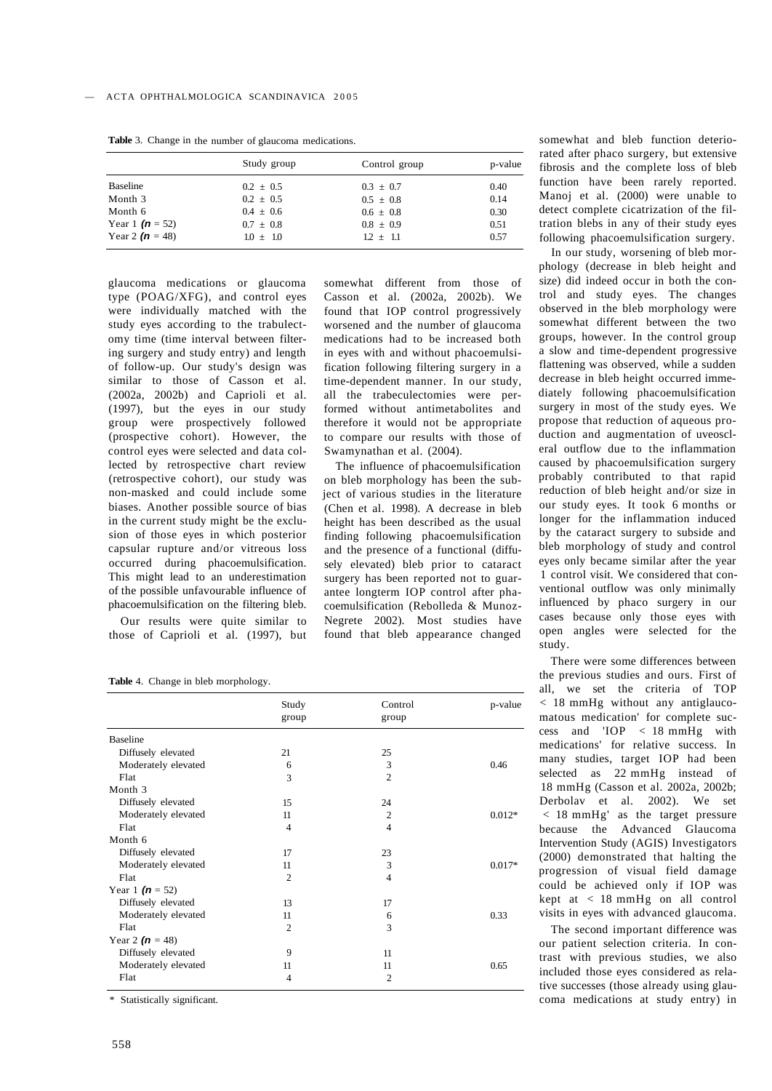|                     | Study group   | Control group | p-value |
|---------------------|---------------|---------------|---------|
| <b>Baseline</b>     | $0.2 + 0.5$   | $0.3 \pm 0.7$ | 0.40    |
| Month 3             | $0.2 \pm 0.5$ | $0.5 \pm 0.8$ | 0.14    |
| Month 6             | $0.4 \pm 0.6$ | $0.6 \pm 0.8$ | 0.30    |
| Year 1 $(n = 52)$   | $0.7 \pm 0.8$ | $0.8 \pm 0.9$ | 0.51    |
| Year 2 ( $n = 48$ ) | $1.0 \pm 1.0$ | $1.2 + 1.1$   | 0.57    |

**Table** 3. Change in the number of glaucoma medications.

glaucoma medications or glaucoma type (POAG/XFG), and control eyes were individually matched with the study eyes according to the trabulectomy time (time interval between filtering surgery and study entry) and length of follow-up. Our study's design was similar to those of Casson et al. (2002a, 2002b) and Caprioli et al. (1997), but the eyes in our study group were prospectively followed (prospective cohort). However, the control eyes were selected and data collected by retrospective chart review (retrospective cohort), our study was non-masked and could include some biases. Another possible source of bias in the current study might be the exclusion of those eyes in which posterior capsular rupture and/or vitreous loss occurred during phacoemulsification. This might lead to an underestimation of the possible unfavourable influence of phacoemulsification on the filtering bleb.

Our results were quite similar to those of Caprioli et al. (1997), but

Table 4. Change in bleb morphology.

|                     | Study<br>group | Control        | p-value  |
|---------------------|----------------|----------------|----------|
|                     |                | group          |          |
| <b>Baseline</b>     |                |                |          |
| Diffusely elevated  | 21             | 25             |          |
| Moderately elevated | 6              | 3              | 0.46     |
| Flat                | 3              | $\overline{2}$ |          |
| Month 3             |                |                |          |
| Diffusely elevated  | 15             | 24             |          |
| Moderately elevated | 11             | $\overline{c}$ | $0.012*$ |
| Flat                | $\overline{4}$ | $\overline{4}$ |          |
| Month 6             |                |                |          |
| Diffusely elevated  | 17             | 23             |          |
| Moderately elevated | 11             | 3              | $0.017*$ |
| Flat                | $\overline{2}$ | 4              |          |
| Year 1 $(n = 52)$   |                |                |          |
| Diffusely elevated  | 13             | 17             |          |
| Moderately elevated | 11             | 6              | 0.33     |
| Flat                | $\overline{2}$ | 3              |          |
| Year 2 ( $n = 48$ ) |                |                |          |
| Diffusely elevated  | 9              | 11             |          |
| Moderately elevated | 11             | 11             | 0.65     |
| Flat                | 4              | $\overline{2}$ |          |

\* Statistically significant.

somewhat different from those of Casson et al. (2002a, 2002b). We found that IOP control progressively worsened and the number of glaucoma medications had to be increased both in eyes with and without phacoemulsification following filtering surgery in a time-dependent manner. In our study, all the trabeculectomies were performed without antimetabolites and therefore it would not be appropriate to compare our results with those of Swamynathan et al. (2004).

The influence of phacoemulsification on bleb morphology has been the subject of various studies in the literature (Chen et al. 1998). A decrease in bleb height has been described as the usual finding following phacoemulsification and the presence of a functional (diffusely elevated) bleb prior to cataract surgery has been reported not to guarantee longterm IOP control after phacoemulsification (Rebolleda & Munoz-Negrete 2002). Most studies have found that bleb appearance changed

somewhat and bleb function deteriorated after phaco surgery, but extensive fibrosis and the complete loss of bleb function have been rarely reported. Manoj et al. (2000) were unable to detect complete cicatrization of the filtration blebs in any of their study eyes following phacoemulsification surgery.

In our study, worsening of bleb morphology (decrease in bleb height and size) did indeed occur in both the control and study eyes. The changes observed in the bleb morphology were somewhat different between the two groups, however. In the control group a slow and time-dependent progressive flattening was observed, while a sudden decrease in bleb height occurred immediately following phacoemulsification surgery in most of the study eyes. We propose that reduction of aqueous production and augmentation of uveoscleral outflow due to the inflammation caused by phacoemulsification surgery probably contributed to that rapid reduction of bleb height and/or size in our study eyes. It took 6 months or longer for the inflammation induced by the cataract surgery to subside and bleb morphology of study and control eyes only became similar after the year 1 control visit. We considered that conventional outflow was only minimally influenced by phaco surgery in our cases because only those eyes with open angles were selected for the study.

There were some differences between the previous studies and ours. First of all, we set the criteria of TOP < 18 mmHg without any antiglaucomatous medication' for complete success and 'IOP < 18 mmHg with medications' for relative success. In many studies, target IOP had been selected as 22 mmHg instead of 18 mmHg (Casson et al. 2002a, 2002b; Derbolav et al. 2002). We set < 18 mmHg' as the target pressure because the Advanced Glaucoma Intervention Study (AGIS) Investigators (2000) demonstrated that halting the progression of visual field damage could be achieved only if IOP was kept at < 18 mmHg on all control visits in eyes with advanced glaucoma.

The second important difference was our patient selection criteria. In contrast with previous studies, we also included those eyes considered as relative successes (those already using glaucoma medications at study entry) in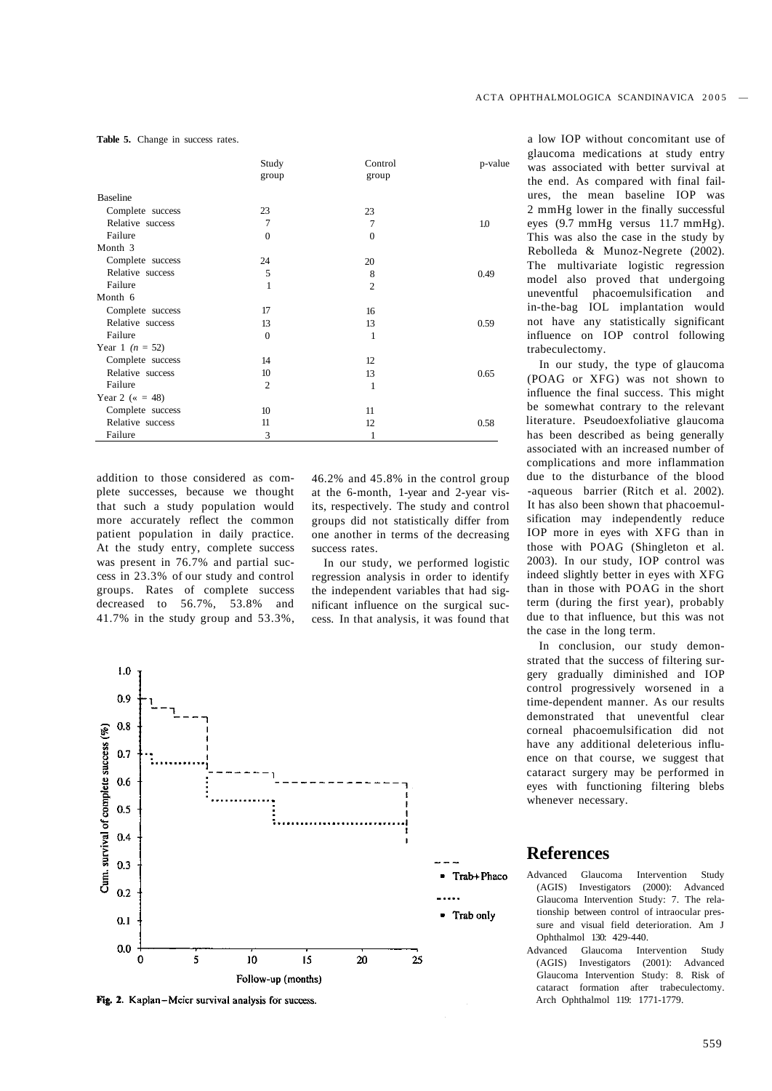Table 5. Change in success rates.

|                          | Study<br>group | Control        | p-value |
|--------------------------|----------------|----------------|---------|
|                          |                | group          |         |
| <b>Baseline</b>          |                |                |         |
| Complete success         | 23             | 23             |         |
| Relative success         | 7              | 7              | 1.0     |
| Failure                  | $\mathbf{0}$   | $\Omega$       |         |
| Month 3                  |                |                |         |
| Complete success         | 24             | 20             |         |
| Relative success         | 5              | 8              | 0.49    |
| Failure                  | 1              | $\overline{2}$ |         |
| Month 6                  |                |                |         |
| Complete success         | 17             | 16             |         |
| Relative success         | 13             | 13             | 0.59    |
| Failure                  | $\mathbf{0}$   | 1              |         |
| Year 1 ( $n = 52$ )      |                |                |         |
| Complete success         | 14             | 12             |         |
| Relative success         | 10             | 13             | 0.65    |
| Failure                  | $\overline{2}$ | 1              |         |
| Year 2 ( $\kappa = 48$ ) |                |                |         |
| Complete success         | 10             | 11             |         |
| Relative success         | 11             | 12             | 0.58    |
| Failure                  | 3              |                |         |

addition to those considered as complete successes, because we thought that such a study population would more accurately reflect the common patient population in daily practice. At the study entry, complete success was present in 76.7% and partial success in 23.3% of our study and control groups. Rates of complete success decreased to 56.7%, 53.8% and 41.7% in the study group and 53.3%,

46.2% and 45.8% in the control group at the 6-month, 1-year and 2-year visits, respectively. The study and control groups did not statistically differ from one another in terms of the decreasing success rates.

In our study, we performed logistic regression analysis in order to identify the independent variables that had significant influence on the surgical success. In that analysis, it was found that



Fig. 2. Kaplan-Meier survival analysis for success.

a low IOP without concomitant use of glaucoma medications at study entry was associated with better survival at the end. As compared with final failures, the mean baseline IOP was 2 mmHg lower in the finally successful eyes (9.7 mmHg versus 11.7 mmHg). This was also the case in the study by Rebolleda & Munoz-Negrete (2002). The multivariate logistic regression model also proved that undergoing uneventful phacoemulsification and in-the-bag IOL implantation would not have any statistically significant influence on IOP control following trabeculectomy.

In our study, the type of glaucoma (POAG or XFG) was not shown to influence the final success. This might be somewhat contrary to the relevant literature. Pseudoexfoliative glaucoma has been described as being generally associated with an increased number of complications and more inflammation due to the disturbance of the blood -aqueous barrier (Ritch et al. 2002). It has also been shown that phacoemulsification may independently reduce IOP more in eyes with XFG than in those with POAG (Shingleton et al. 2003). In our study, IOP control was indeed slightly better in eyes with XFG than in those with POAG in the short term (during the first year), probably due to that influence, but this was not the case in the long term.

In conclusion, our study demonstrated that the success of filtering surgery gradually diminished and IOP control progressively worsened in a time-dependent manner. As our results demonstrated that uneventful clear corneal phacoemulsification did not have any additional deleterious influence on that course, we suggest that cataract surgery may be performed in eyes with functioning filtering blebs whenever necessary.

# **References**

- Advanced Glaucoma Intervention Study (AGIS) Investigators (2000): Advanced Glaucoma Intervention Study: 7. The relationship between control of intraocular pressure and visual field deterioration. Am J Ophthalmol 130: 429-440.
- Advanced Glaucoma Intervention Study (AGIS) Investigators (2001): Advanced Glaucoma Intervention Study: 8. Risk of cataract formation after trabeculectomy. Arch Ophthalmol 119: 1771-1779.